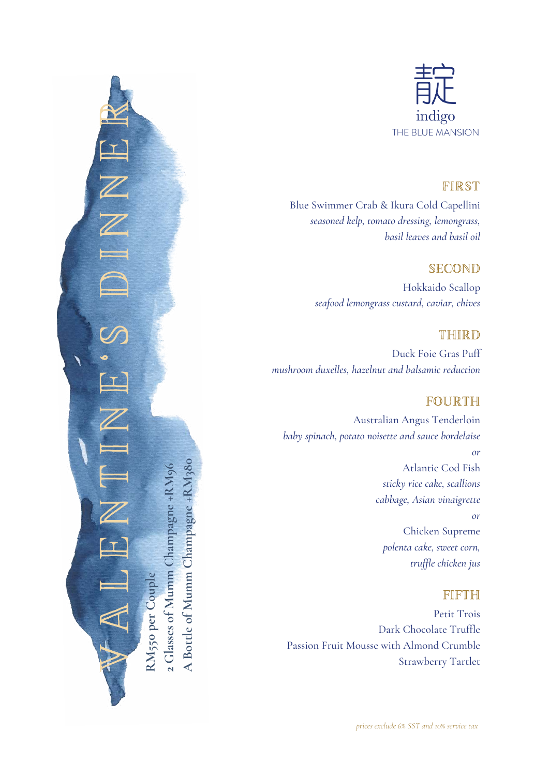

#### FIRST

Blue Swimmer Crab & Ikura Cold Capellini *seasoned kelp, tomato dressing, lemongrass, basil leaves and basil oil*

### SECOND

Hokkaido Scallop *seafood lemongrass custard, caviar, chives*

#### THIRD

Duck Foie Gras Puff *mushroom duxelles, hazelnut and balsamic reduction*

## FOURTH

Australian Angus Tenderloin *baby spinach, potato noisette and sauce bordelaise or* Atlantic Cod Fish *sticky rice cake, scallions cabbage, Asian vinaigrette or* Chicken Supreme *polenta cake, sweet corn, truffle chicken jus*

#### FIFTH

Petit Trois Dark Chocolate Truffle Passion Fruit Mousse with Almond Crumble Strawberry Tartlet

V A L E N T N E 'S D I N N E R I **2 Glasses of Mumm Champagne +RM96** 2 Glasses of Mumm Champagne +RM9 **RM550 per Couple** RM550 per Coupl

**A Bottle of Mumm Champagne +RM380**

A Bottle of Mumm Champagne +RM380